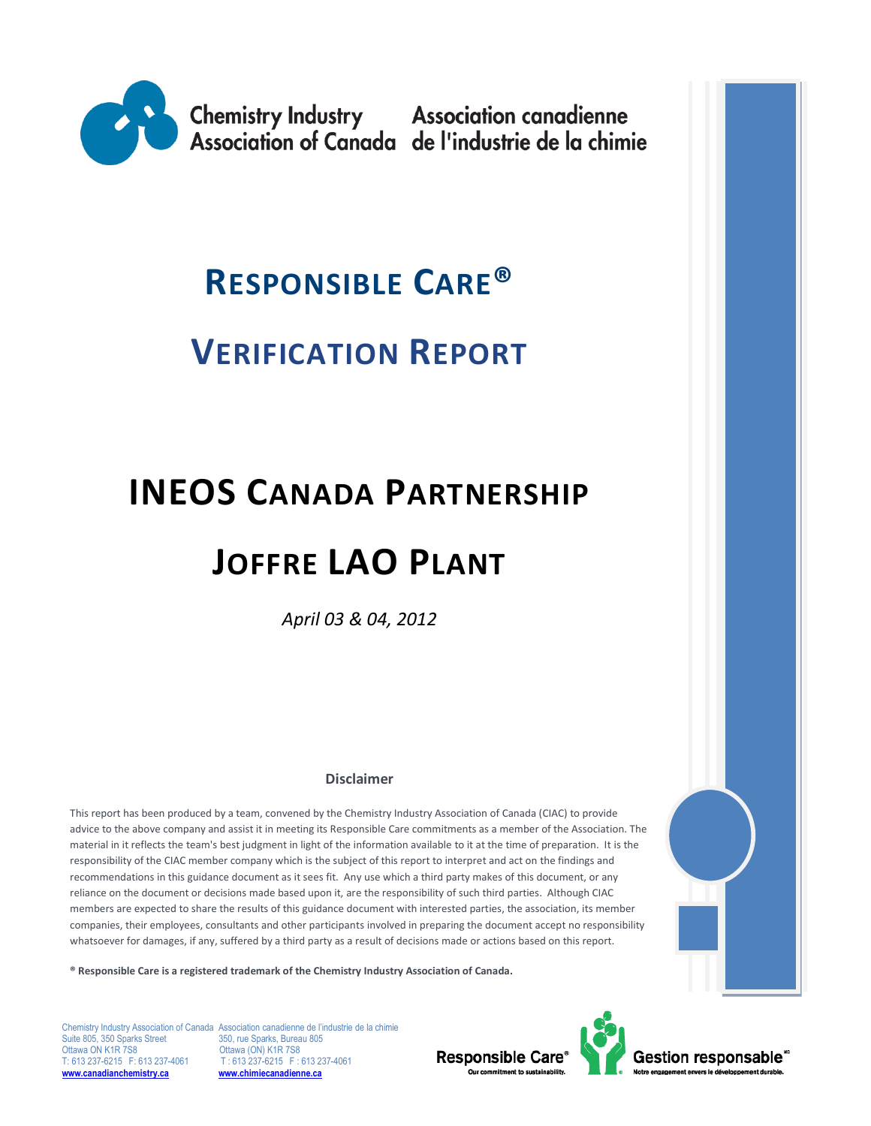

## **RESPONSIBLE CARE®**

## **VERIFICATION REPORT**

# **INEOS CANADA PARTNERSHIP JOFFRE LAO PLANT**

*April 03 & 04, 2012*

#### **Disclaimer**

This report has been produced by a team, convened by the Chemistry Industry Association of Canada (CIAC) to provide advice to the above company and assist it in meeting its Responsible Care commitments as a member of the Association. The material in it reflects the team's best judgment in light of the information available to it at the time of preparation. It is the responsibility of the CIAC member company which is the subject of this report to interpret and act on the findings and recommendations in this guidance document as it sees fit. Any use which a third party makes of this document, or any reliance on the document or decisions made based upon it, are the responsibility of such third parties. Although CIAC members are expected to share the results of this guidance document with interested parties, the association, its member companies, their employees, consultants and other participants involved in preparing the document accept no responsibility whatsoever for damages, if any, suffered by a third party as a result of decisions made or actions based on this report.

**® Responsible Care is a registered trademark of the Chemistry Industry Association of Canada.** 

Suite 805, 350 Sparks Street 350, rue Sparks, Bureau 805<br>Ottawa ON K1R 7S8 0ttawa (ON) K1R 7S8 Ottawa ON K1R 7S8 Ottawa (ON) K1R 7S8<br>T: 613 237-6215 F: 613 237-4061 T: 613 237-6215 F: 6 **[www.canadianchemistry.ca](http://www.canadianchemistry.ca/) [www.chimiecanadienne.ca](http://www.chimiecanadienne.ca/)**

Chemistry Industry Association of Canada Association canadienne de l'industrie de la chimie T : 613 237-6215 F : 613 237-4061<br>**www.chimiecanadienne.ca** 

Responsible Care®



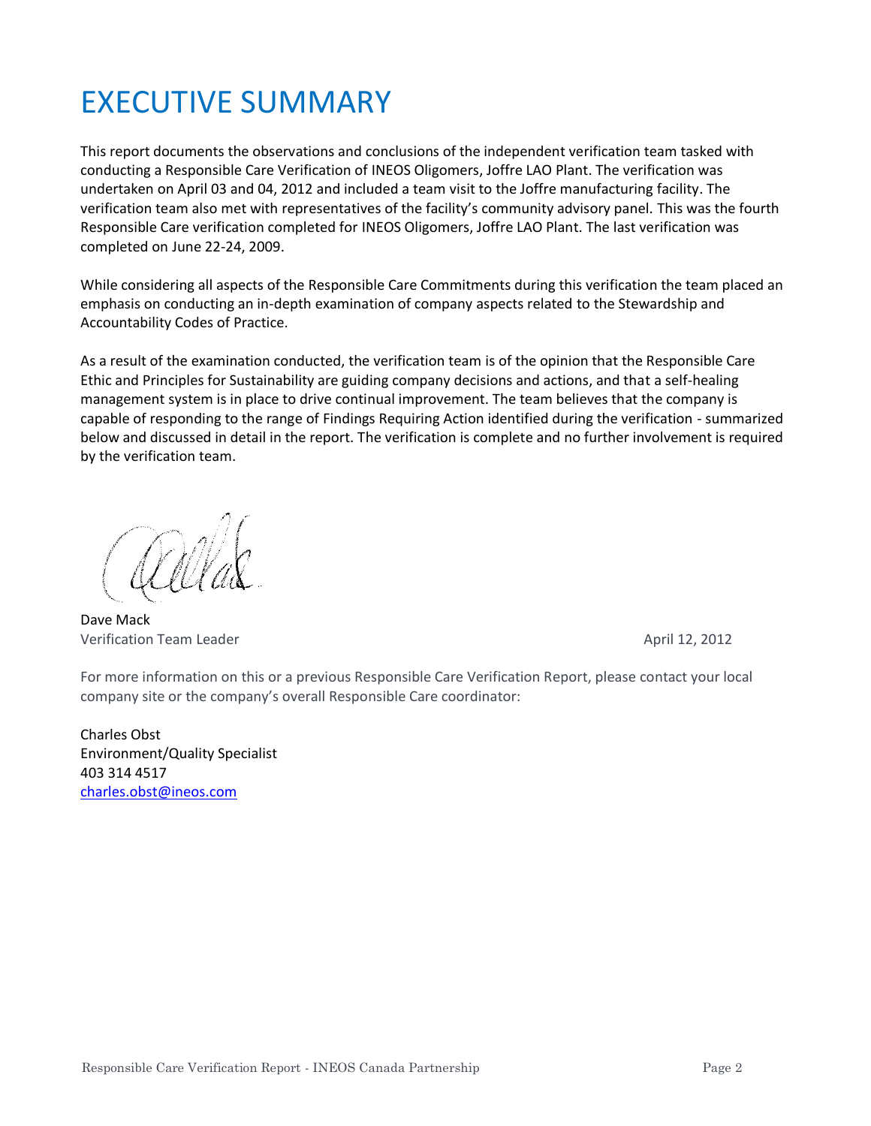## EXECUTIVE SUMMARY

This report documents the observations and conclusions of the independent verification team tasked with conducting a Responsible Care Verification of INEOS Oligomers, Joffre LAO Plant. The verification was undertaken on April 03 and 04, 2012 and included a team visit to the Joffre manufacturing facility. The verification team also met with representatives of the facility's community advisory panel. This was the fourth Responsible Care verification completed for INEOS Oligomers, Joffre LAO Plant. The last verification was completed on June 22-24, 2009.

While considering all aspects of the Responsible Care Commitments during this verification the team placed an emphasis on conducting an in-depth examination of company aspects related to the Stewardship and Accountability Codes of Practice.

As a result of the examination conducted, the verification team is of the opinion that the Responsible Care Ethic and Principles for Sustainability are guiding company decisions and actions, and that a self-healing management system is in place to drive continual improvement. The team believes that the company is capable of responding to the range of Findings Requiring Action identified during the verification - summarized below and discussed in detail in the report. The verification is complete and no further involvement is required by the verification team.

Dave Mack Verification Team Leader **April 12, 2012 April 12, 2012** 

For more information on this or a previous Responsible Care Verification Report, please contact your local company site or the company's overall Responsible Care coordinator:

Charles Obst Environment/Quality Specialist 403 314 4517 [charles.obst@ineos.com](mailto:charles.obst@ineos.com)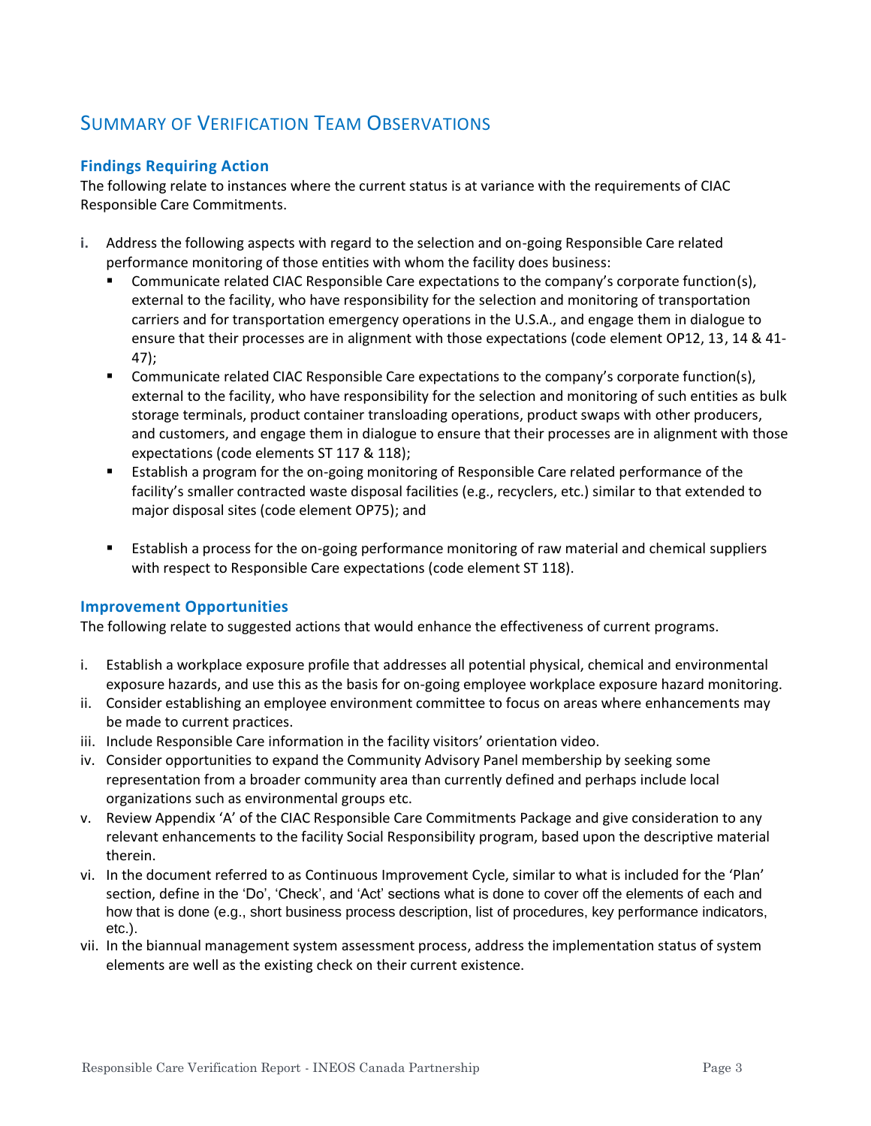## SUMMARY OF VERIFICATION TEAM OBSERVATIONS

#### **Findings Requiring Action**

The following relate to instances where the current status is at variance with the requirements of CIAC Responsible Care Commitments.

- **i.** Address the following aspects with regard to the selection and on-going Responsible Care related performance monitoring of those entities with whom the facility does business:
	- Communicate related CIAC Responsible Care expectations to the company's corporate function(s), external to the facility, who have responsibility for the selection and monitoring of transportation carriers and for transportation emergency operations in the U.S.A., and engage them in dialogue to ensure that their processes are in alignment with those expectations (code element OP12, 13, 14 & 41- 47);
	- Communicate related CIAC Responsible Care expectations to the company's corporate function(s), external to the facility, who have responsibility for the selection and monitoring of such entities as bulk storage terminals, product container transloading operations, product swaps with other producers, and customers, and engage them in dialogue to ensure that their processes are in alignment with those expectations (code elements ST 117 & 118);
	- **E** Establish a program for the on-going monitoring of Responsible Care related performance of the facility's smaller contracted waste disposal facilities (e.g., recyclers, etc.) similar to that extended to major disposal sites (code element OP75); and
	- Establish a process for the on-going performance monitoring of raw material and chemical suppliers with respect to Responsible Care expectations (code element ST 118).

#### **Improvement Opportunities**

The following relate to suggested actions that would enhance the effectiveness of current programs.

- i. Establish a workplace exposure profile that addresses all potential physical, chemical and environmental exposure hazards, and use this as the basis for on-going employee workplace exposure hazard monitoring.
- ii. Consider establishing an employee environment committee to focus on areas where enhancements may be made to current practices.
- iii. Include Responsible Care information in the facility visitors' orientation video.
- iv. Consider opportunities to expand the Community Advisory Panel membership by seeking some representation from a broader community area than currently defined and perhaps include local organizations such as environmental groups etc.
- v. Review Appendix 'A' of the CIAC Responsible Care Commitments Package and give consideration to any relevant enhancements to the facility Social Responsibility program, based upon the descriptive material therein.
- vi. In the document referred to as Continuous Improvement Cycle, similar to what is included for the 'Plan' section, define in the 'Do', 'Check', and 'Act' sections what is done to cover off the elements of each and how that is done (e.g., short business process description, list of procedures, key performance indicators, etc.).
- vii. In the biannual management system assessment process, address the implementation status of system elements are well as the existing check on their current existence.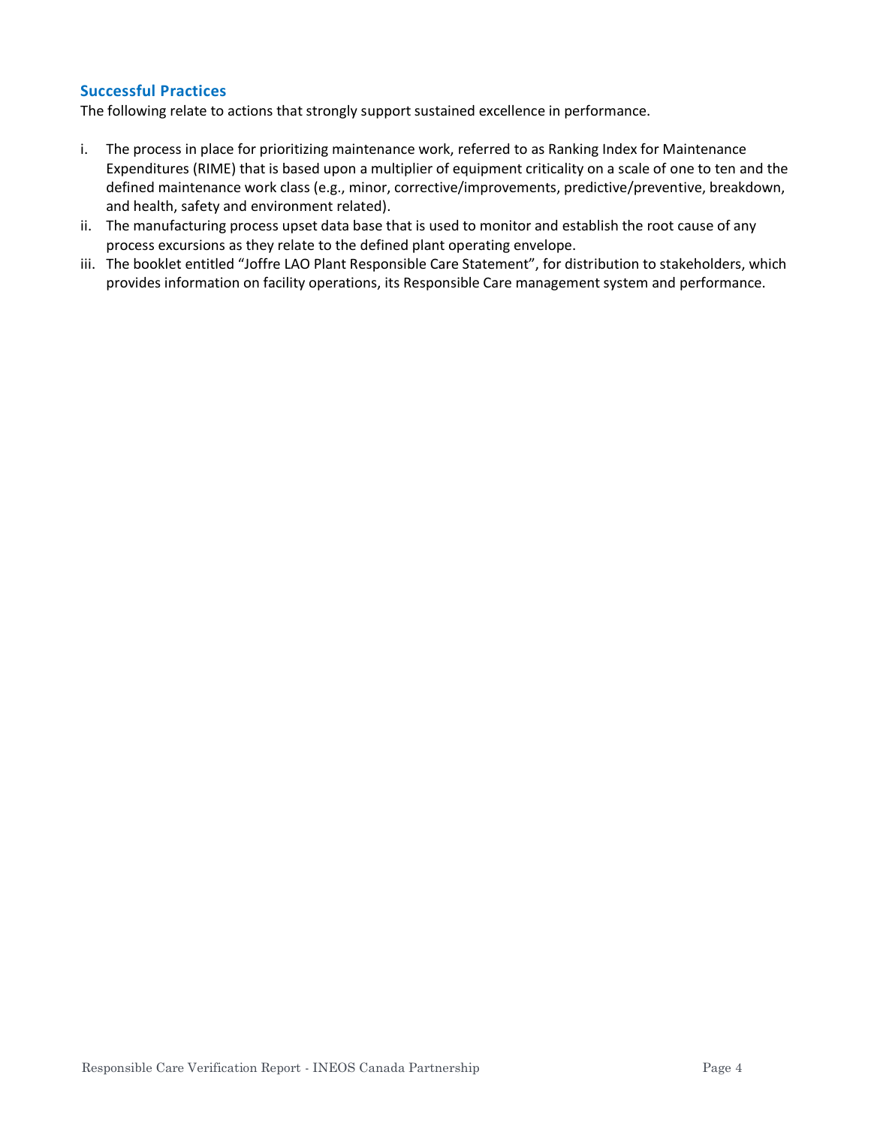#### **Successful Practices**

The following relate to actions that strongly support sustained excellence in performance.

- i. The process in place for prioritizing maintenance work, referred to as Ranking Index for Maintenance Expenditures (RIME) that is based upon a multiplier of equipment criticality on a scale of one to ten and the defined maintenance work class (e.g., minor, corrective/improvements, predictive/preventive, breakdown, and health, safety and environment related).
- ii. The manufacturing process upset data base that is used to monitor and establish the root cause of any process excursions as they relate to the defined plant operating envelope.
- iii. The booklet entitled "Joffre LAO Plant Responsible Care Statement", for distribution to stakeholders, which provides information on facility operations, its Responsible Care management system and performance.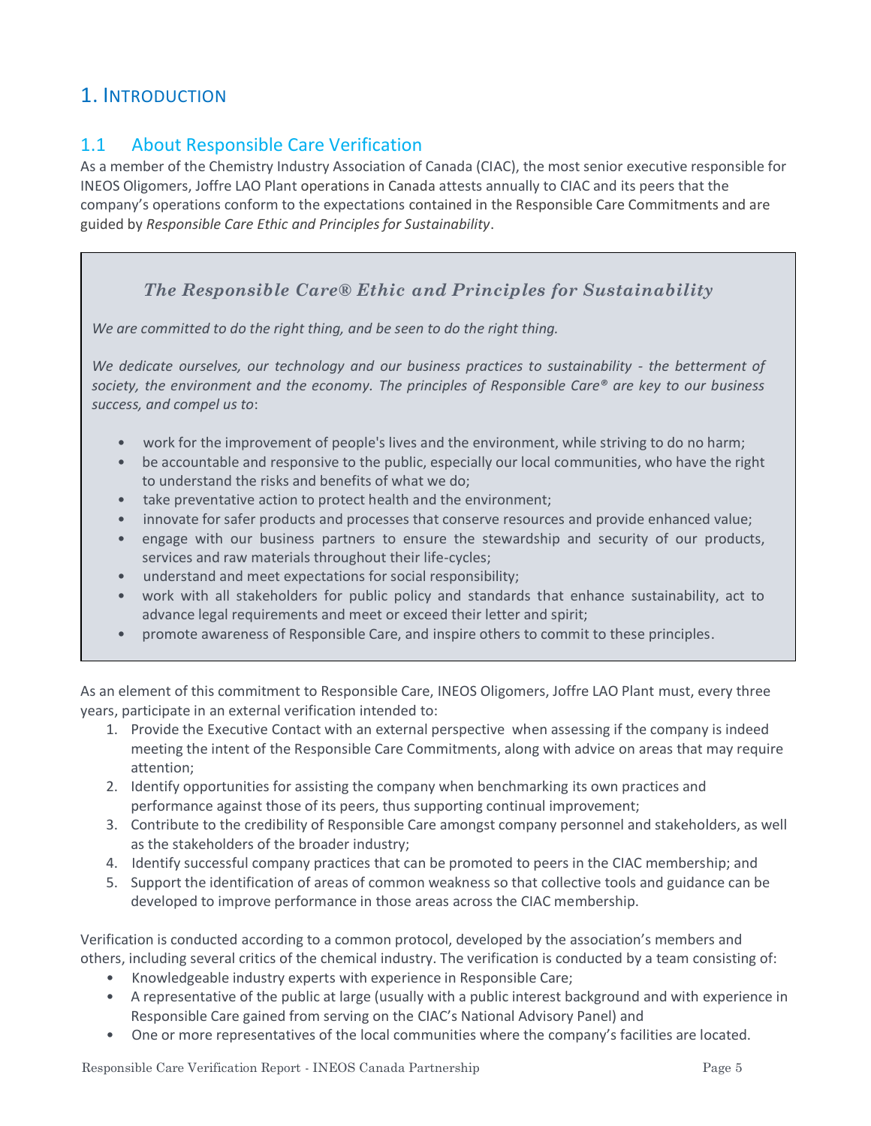## 1. INTRODUCTION

## 1.1 About Responsible Care Verification

As a member of the Chemistry Industry Association of Canada (CIAC), the most senior executive responsible for INEOS Oligomers, Joffre LAO Plant operations in Canada attests annually to CIAC and its peers that the company's operations conform to the expectations contained in the Responsible Care Commitments and are guided by *Responsible Care Ethic and Principles for Sustainability*.

## *The Responsible Care® Ethic and Principles for Sustainability*

*We are committed to do the right thing, and be seen to do the right thing.*

*We dedicate ourselves, our technology and our business practices to sustainability - the betterment of society, the environment and the economy. The principles of Responsible Care® are key to our business success, and compel us to*:

- work for the improvement of people's lives and the environment, while striving to do no harm;
- be accountable and responsive to the public, especially our local communities, who have the right to understand the risks and benefits of what we do;
- take preventative action to protect health and the environment;
- innovate for safer products and processes that conserve resources and provide enhanced value;
- engage with our business partners to ensure the stewardship and security of our products, services and raw materials throughout their life-cycles;
- understand and meet expectations for social responsibility;
- work with all stakeholders for public policy and standards that enhance sustainability, act to advance legal requirements and meet or exceed their letter and spirit;
- promote awareness of Responsible Care, and inspire others to commit to these principles.

As an element of this commitment to Responsible Care, INEOS Oligomers, Joffre LAO Plant must, every three years, participate in an external verification intended to:

- 1. Provide the Executive Contact with an external perspective when assessing if the company is indeed meeting the intent of the Responsible Care Commitments, along with advice on areas that may require attention;
- 2. Identify opportunities for assisting the company when benchmarking its own practices and performance against those of its peers, thus supporting continual improvement;
- 3. Contribute to the credibility of Responsible Care amongst company personnel and stakeholders, as well as the stakeholders of the broader industry;
- 4. Identify successful company practices that can be promoted to peers in the CIAC membership; and
- 5. Support the identification of areas of common weakness so that collective tools and guidance can be developed to improve performance in those areas across the CIAC membership.

Verification is conducted according to a common protocol, developed by the association's members and others, including several critics of the chemical industry. The verification is conducted by a team consisting of:

- Knowledgeable industry experts with experience in Responsible Care;
- A representative of the public at large (usually with a public interest background and with experience in Responsible Care gained from serving on the CIAC's National Advisory Panel) and
- One or more representatives of the local communities where the company's facilities are located.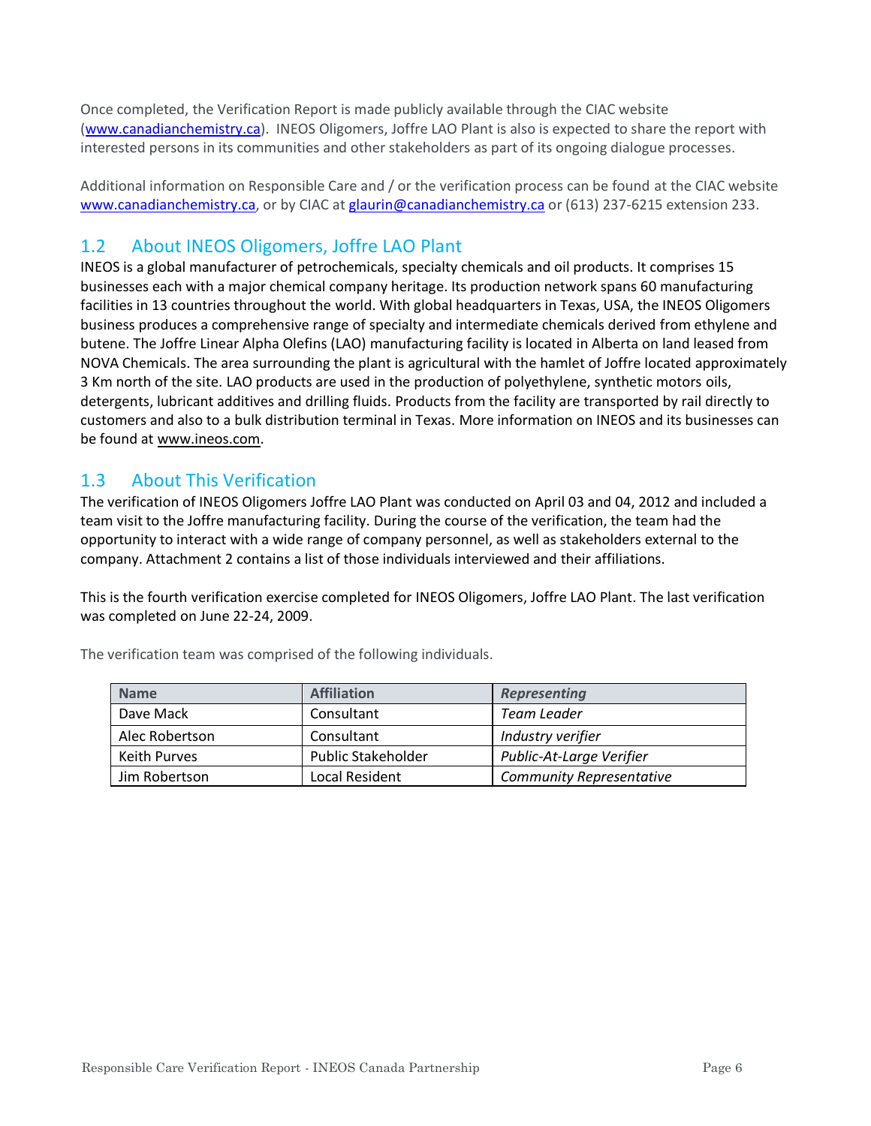Once completed, the Verification Report is made publicly available through the CIAC website [\(www.canadianchemistry.ca\)](http://www.canadianchemistry.ca/). INEOS Oligomers, Joffre LAO Plant is also is expected to share the report with interested persons in its communities and other stakeholders as part of its ongoing dialogue processes.

Additional information on Responsible Care and / or the verification process can be found at the CIAC website [www.canadianchemistry.ca,](http://www.canadianchemistry.ca/) or by CIAC at [glaurin@canadianchemistry.ca](mailto:glaurin@canadianchemistry.ca) or (613) 237-6215 extension 233.

## 1.2 About INEOS Oligomers, Joffre LAO Plant

INEOS is a global manufacturer of petrochemicals, specialty chemicals and oil products. It comprises 15 businesses each with a major chemical company heritage. Its production network spans 60 manufacturing facilities in 13 countries throughout the world. With global headquarters in Texas, USA, the INEOS Oligomers business produces a comprehensive range of specialty and intermediate chemicals derived from ethylene and butene. The Joffre Linear Alpha Olefins (LAO) manufacturing facility is located in Alberta on land leased from NOVA Chemicals. The area surrounding the plant is agricultural with the hamlet of Joffre located approximately 3 Km north of the site. LAO products are used in the production of polyethylene, synthetic motors oils, detergents, lubricant additives and drilling fluids. Products from the facility are transported by rail directly to customers and also to a bulk distribution terminal in Texas. More information on INEOS and its businesses can be found at [www.ineos.com.](http://www.ineos.com/)

## 1.3 About This Verification

The verification of INEOS Oligomers Joffre LAO Plant was conducted on April 03 and 04, 2012 and included a team visit to the Joffre manufacturing facility. During the course of the verification, the team had the opportunity to interact with a wide range of company personnel, as well as stakeholders external to the company. Attachment 2 contains a list of those individuals interviewed and their affiliations.

This is the fourth verification exercise completed for INEOS Oligomers, Joffre LAO Plant. The last verification was completed on June 22-24, 2009.

| <b>Name</b>    | <b>Affiliation</b>        | <b>Representing</b>             |
|----------------|---------------------------|---------------------------------|
| Dave Mack      | Consultant                | Team Leader                     |
| Alec Robertson | Consultant                | Industry verifier               |
| Keith Purves   | <b>Public Stakeholder</b> | Public-At-Large Verifier        |
| Jim Robertson  | Local Resident            | <b>Community Representative</b> |

The verification team was comprised of the following individuals.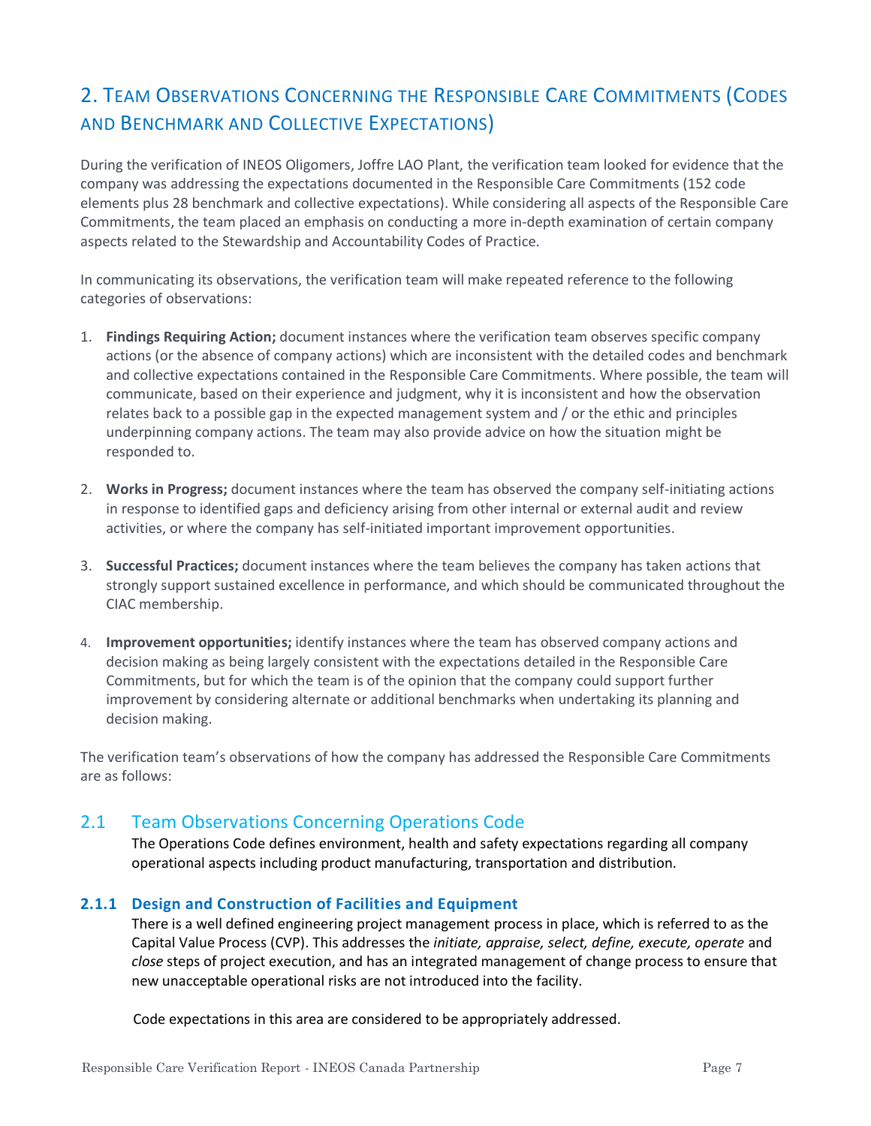## 2. TEAM OBSERVATIONS CONCERNING THE RESPONSIBLE CARE COMMITMENTS (CODES AND BENCHMARK AND COLLECTIVE EXPECTATIONS)

During the verification of INEOS Oligomers, Joffre LAO Plant, the verification team looked for evidence that the company was addressing the expectations documented in the Responsible Care Commitments (152 code elements plus 28 benchmark and collective expectations). While considering all aspects of the Responsible Care Commitments, the team placed an emphasis on conducting a more in-depth examination of certain company aspects related to the Stewardship and Accountability Codes of Practice.

In communicating its observations, the verification team will make repeated reference to the following categories of observations:

- 1. **Findings Requiring Action;** document instances where the verification team observes specific company actions (or the absence of company actions) which are inconsistent with the detailed codes and benchmark and collective expectations contained in the Responsible Care Commitments. Where possible, the team will communicate, based on their experience and judgment, why it is inconsistent and how the observation relates back to a possible gap in the expected management system and / or the ethic and principles underpinning company actions. The team may also provide advice on how the situation might be responded to.
- 2. **Works in Progress;** document instances where the team has observed the company self-initiating actions in response to identified gaps and deficiency arising from other internal or external audit and review activities, or where the company has self-initiated important improvement opportunities.
- 3. **Successful Practices;** document instances where the team believes the company has taken actions that strongly support sustained excellence in performance, and which should be communicated throughout the CIAC membership.
- 4. **Improvement opportunities;** identify instances where the team has observed company actions and decision making as being largely consistent with the expectations detailed in the Responsible Care Commitments, but for which the team is of the opinion that the company could support further improvement by considering alternate or additional benchmarks when undertaking its planning and decision making.

The verification team's observations of how the company has addressed the Responsible Care Commitments are as follows:

## 2.1 Team Observations Concerning Operations Code

The Operations Code defines environment, health and safety expectations regarding all company operational aspects including product manufacturing, transportation and distribution.

#### **2.1.1 Design and Construction of Facilities and Equipment**

There is a well defined engineering project management process in place, which is referred to as the Capital Value Process (CVP). This addresses the *initiate, appraise, select, define, execute, operate* and *close* steps of project execution, and has an integrated management of change process to ensure that new unacceptable operational risks are not introduced into the facility.

Code expectations in this area are considered to be appropriately addressed.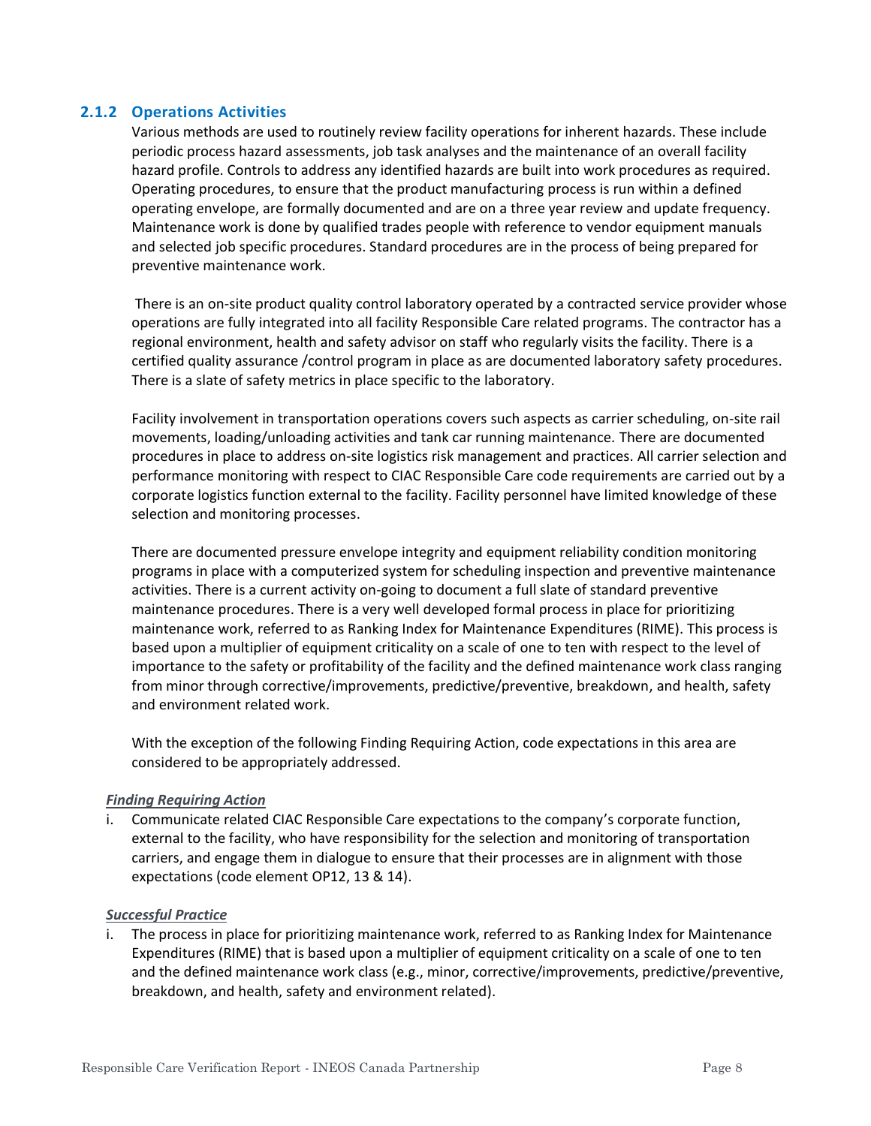#### **2.1.2 Operations Activities**

Various methods are used to routinely review facility operations for inherent hazards. These include periodic process hazard assessments, job task analyses and the maintenance of an overall facility hazard profile. Controls to address any identified hazards are built into work procedures as required. Operating procedures, to ensure that the product manufacturing process is run within a defined operating envelope, are formally documented and are on a three year review and update frequency. Maintenance work is done by qualified trades people with reference to vendor equipment manuals and selected job specific procedures. Standard procedures are in the process of being prepared for preventive maintenance work.

There is an on-site product quality control laboratory operated by a contracted service provider whose operations are fully integrated into all facility Responsible Care related programs. The contractor has a regional environment, health and safety advisor on staff who regularly visits the facility. There is a certified quality assurance /control program in place as are documented laboratory safety procedures. There is a slate of safety metrics in place specific to the laboratory.

Facility involvement in transportation operations covers such aspects as carrier scheduling, on-site rail movements, loading/unloading activities and tank car running maintenance. There are documented procedures in place to address on-site logistics risk management and practices. All carrier selection and performance monitoring with respect to CIAC Responsible Care code requirements are carried out by a corporate logistics function external to the facility. Facility personnel have limited knowledge of these selection and monitoring processes.

There are documented pressure envelope integrity and equipment reliability condition monitoring programs in place with a computerized system for scheduling inspection and preventive maintenance activities. There is a current activity on-going to document a full slate of standard preventive maintenance procedures. There is a very well developed formal process in place for prioritizing maintenance work, referred to as Ranking Index for Maintenance Expenditures (RIME). This process is based upon a multiplier of equipment criticality on a scale of one to ten with respect to the level of importance to the safety or profitability of the facility and the defined maintenance work class ranging from minor through corrective/improvements, predictive/preventive, breakdown, and health, safety and environment related work.

With the exception of the following Finding Requiring Action, code expectations in this area are considered to be appropriately addressed.

#### *Finding Requiring Action*

Communicate related CIAC Responsible Care expectations to the company's corporate function, external to the facility, who have responsibility for the selection and monitoring of transportation carriers, and engage them in dialogue to ensure that their processes are in alignment with those expectations (code element OP12, 13 & 14).

#### *Successful Practice*

i. The process in place for prioritizing maintenance work, referred to as Ranking Index for Maintenance Expenditures (RIME) that is based upon a multiplier of equipment criticality on a scale of one to ten and the defined maintenance work class (e.g., minor, corrective/improvements, predictive/preventive, breakdown, and health, safety and environment related).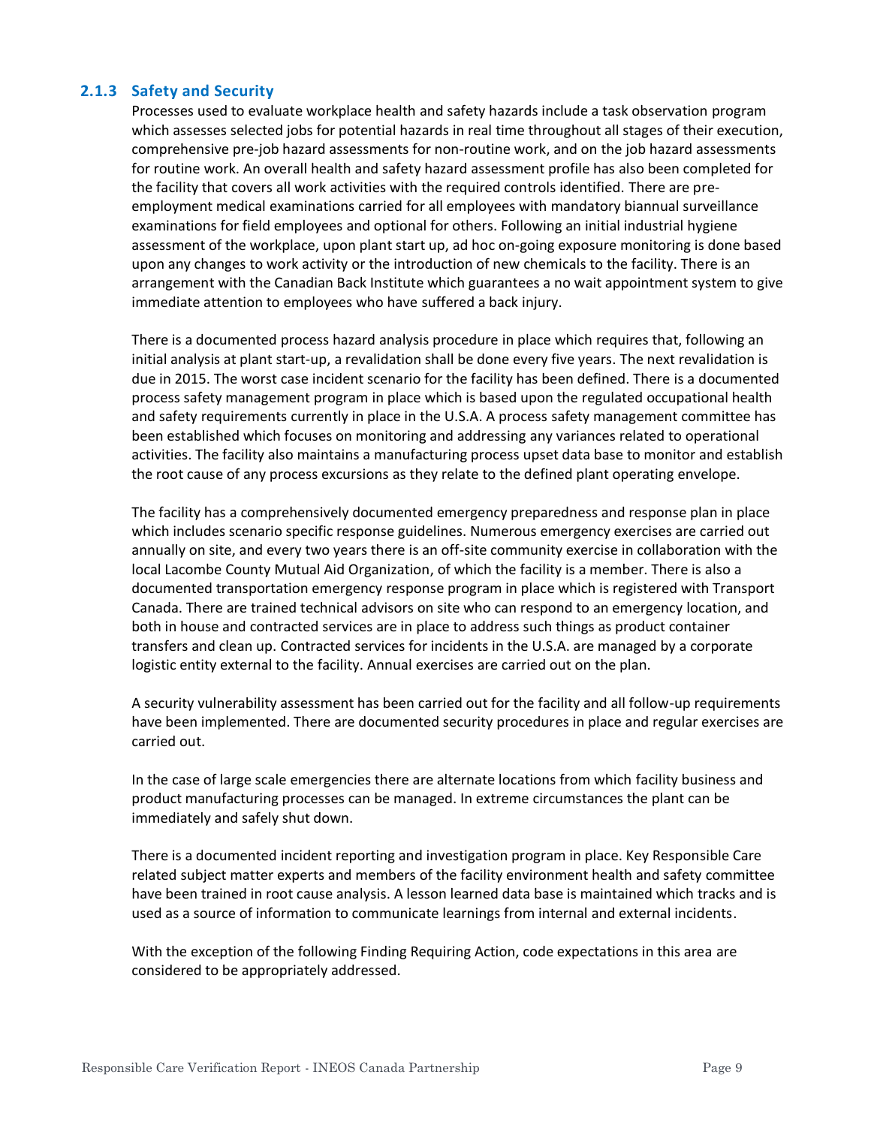#### **2.1.3 Safety and Security**

Processes used to evaluate workplace health and safety hazards include a task observation program which assesses selected jobs for potential hazards in real time throughout all stages of their execution, comprehensive pre-job hazard assessments for non-routine work, and on the job hazard assessments for routine work. An overall health and safety hazard assessment profile has also been completed for the facility that covers all work activities with the required controls identified. There are preemployment medical examinations carried for all employees with mandatory biannual surveillance examinations for field employees and optional for others. Following an initial industrial hygiene assessment of the workplace, upon plant start up, ad hoc on-going exposure monitoring is done based upon any changes to work activity or the introduction of new chemicals to the facility. There is an arrangement with the Canadian Back Institute which guarantees a no wait appointment system to give immediate attention to employees who have suffered a back injury.

There is a documented process hazard analysis procedure in place which requires that, following an initial analysis at plant start-up, a revalidation shall be done every five years. The next revalidation is due in 2015. The worst case incident scenario for the facility has been defined. There is a documented process safety management program in place which is based upon the regulated occupational health and safety requirements currently in place in the U.S.A. A process safety management committee has been established which focuses on monitoring and addressing any variances related to operational activities. The facility also maintains a manufacturing process upset data base to monitor and establish the root cause of any process excursions as they relate to the defined plant operating envelope.

The facility has a comprehensively documented emergency preparedness and response plan in place which includes scenario specific response guidelines. Numerous emergency exercises are carried out annually on site, and every two years there is an off-site community exercise in collaboration with the local Lacombe County Mutual Aid Organization, of which the facility is a member. There is also a documented transportation emergency response program in place which is registered with Transport Canada. There are trained technical advisors on site who can respond to an emergency location, and both in house and contracted services are in place to address such things as product container transfers and clean up. Contracted services for incidents in the U.S.A. are managed by a corporate logistic entity external to the facility. Annual exercises are carried out on the plan.

A security vulnerability assessment has been carried out for the facility and all follow-up requirements have been implemented. There are documented security procedures in place and regular exercises are carried out.

In the case of large scale emergencies there are alternate locations from which facility business and product manufacturing processes can be managed. In extreme circumstances the plant can be immediately and safely shut down.

There is a documented incident reporting and investigation program in place. Key Responsible Care related subject matter experts and members of the facility environment health and safety committee have been trained in root cause analysis. A lesson learned data base is maintained which tracks and is used as a source of information to communicate learnings from internal and external incidents.

With the exception of the following Finding Requiring Action, code expectations in this area are considered to be appropriately addressed.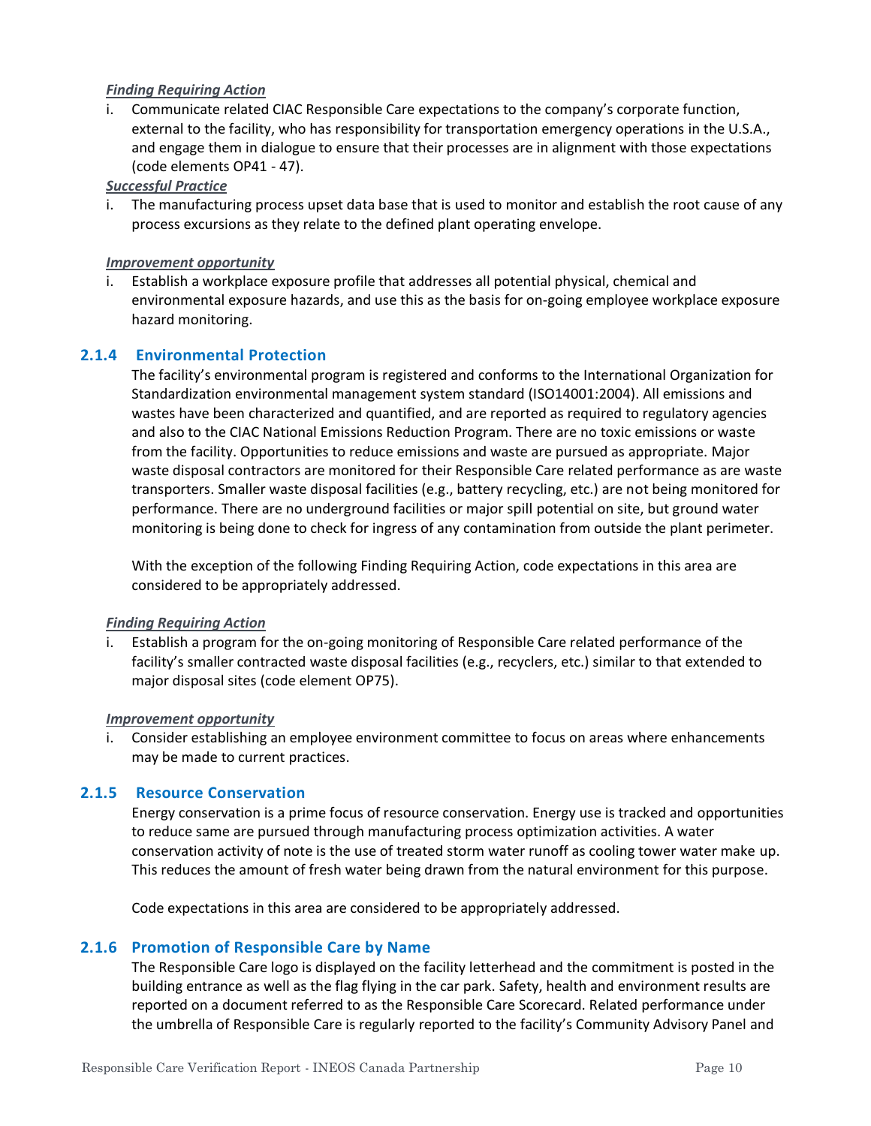#### *Finding Requiring Action*

i. Communicate related CIAC Responsible Care expectations to the company's corporate function, external to the facility, who has responsibility for transportation emergency operations in the U.S.A., and engage them in dialogue to ensure that their processes are in alignment with those expectations (code elements OP41 - 47).

*Successful Practice*

i. The manufacturing process upset data base that is used to monitor and establish the root cause of any process excursions as they relate to the defined plant operating envelope.

#### *Improvement opportunity*

Establish a workplace exposure profile that addresses all potential physical, chemical and environmental exposure hazards, and use this as the basis for on-going employee workplace exposure hazard monitoring.

#### **2.1.4 Environmental Protection**

The facility's environmental program is registered and conforms to the International Organization for Standardization environmental management system standard (ISO14001:2004). All emissions and wastes have been characterized and quantified, and are reported as required to regulatory agencies and also to the CIAC National Emissions Reduction Program. There are no toxic emissions or waste from the facility. Opportunities to reduce emissions and waste are pursued as appropriate. Major waste disposal contractors are monitored for their Responsible Care related performance as are waste transporters. Smaller waste disposal facilities (e.g., battery recycling, etc.) are not being monitored for performance. There are no underground facilities or major spill potential on site, but ground water monitoring is being done to check for ingress of any contamination from outside the plant perimeter.

With the exception of the following Finding Requiring Action, code expectations in this area are considered to be appropriately addressed.

#### *Finding Requiring Action*

Establish a program for the on-going monitoring of Responsible Care related performance of the facility's smaller contracted waste disposal facilities (e.g., recyclers, etc.) similar to that extended to major disposal sites (code element OP75).

#### *Improvement opportunity*

i. Consider establishing an employee environment committee to focus on areas where enhancements may be made to current practices.

#### **2.1.5 Resource Conservation**

Energy conservation is a prime focus of resource conservation. Energy use is tracked and opportunities to reduce same are pursued through manufacturing process optimization activities. A water conservation activity of note is the use of treated storm water runoff as cooling tower water make up. This reduces the amount of fresh water being drawn from the natural environment for this purpose.

Code expectations in this area are considered to be appropriately addressed.

#### **2.1.6 Promotion of Responsible Care by Name**

The Responsible Care logo is displayed on the facility letterhead and the commitment is posted in the building entrance as well as the flag flying in the car park. Safety, health and environment results are reported on a document referred to as the Responsible Care Scorecard. Related performance under the umbrella of Responsible Care is regularly reported to the facility's Community Advisory Panel and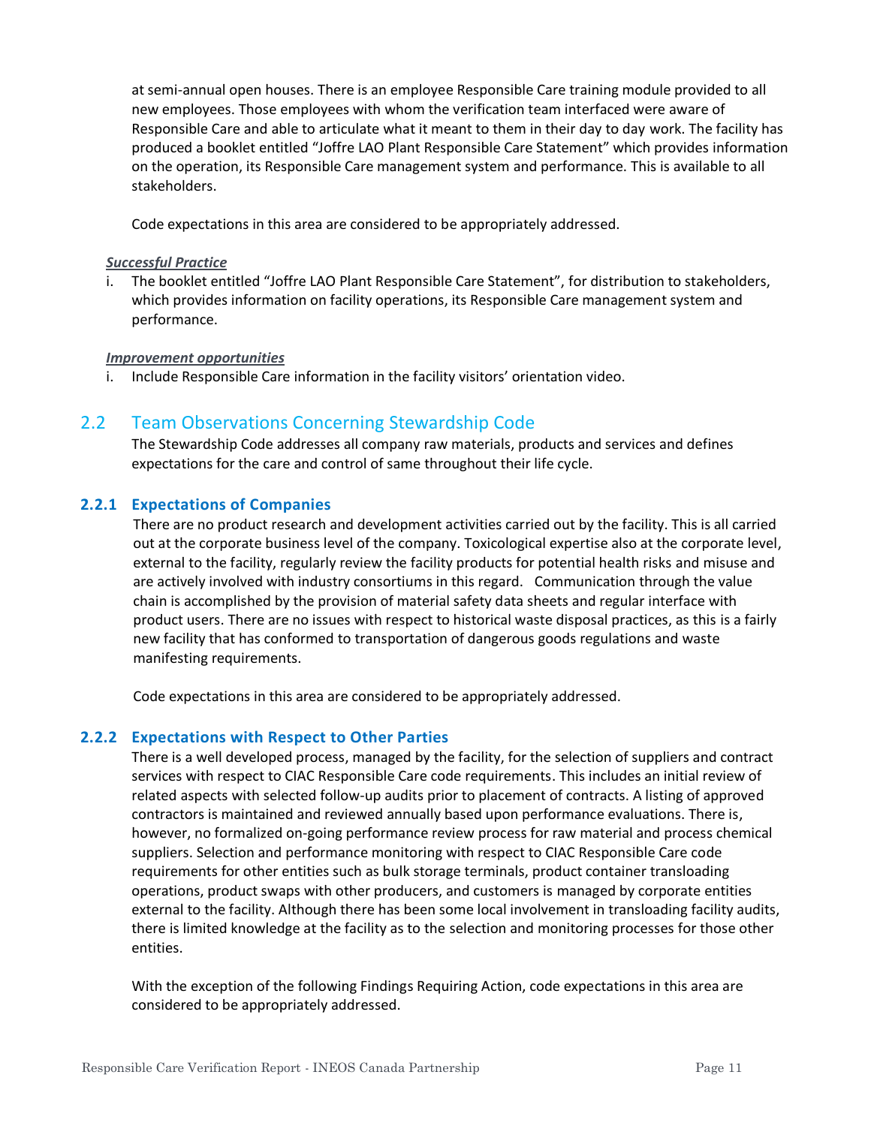at semi-annual open houses. There is an employee Responsible Care training module provided to all new employees. Those employees with whom the verification team interfaced were aware of Responsible Care and able to articulate what it meant to them in their day to day work. The facility has produced a booklet entitled "Joffre LAO Plant Responsible Care Statement" which provides information on the operation, its Responsible Care management system and performance. This is available to all stakeholders.

Code expectations in this area are considered to be appropriately addressed.

#### *Successful Practice*

The booklet entitled "Joffre LAO Plant Responsible Care Statement", for distribution to stakeholders, which provides information on facility operations, its Responsible Care management system and performance.

#### *Improvement opportunities*

i. Include Responsible Care information in the facility visitors' orientation video.

#### 2.2 Team Observations Concerning Stewardship Code

The Stewardship Code addresses all company raw materials, products and services and defines expectations for the care and control of same throughout their life cycle.

#### **2.2.1 Expectations of Companies**

There are no product research and development activities carried out by the facility. This is all carried out at the corporate business level of the company. Toxicological expertise also at the corporate level, external to the facility, regularly review the facility products for potential health risks and misuse and are actively involved with industry consortiums in this regard. Communication through the value chain is accomplished by the provision of material safety data sheets and regular interface with product users. There are no issues with respect to historical waste disposal practices, as this is a fairly new facility that has conformed to transportation of dangerous goods regulations and waste manifesting requirements.

Code expectations in this area are considered to be appropriately addressed.

#### **2.2.2 Expectations with Respect to Other Parties**

There is a well developed process, managed by the facility, for the selection of suppliers and contract services with respect to CIAC Responsible Care code requirements. This includes an initial review of related aspects with selected follow-up audits prior to placement of contracts. A listing of approved contractors is maintained and reviewed annually based upon performance evaluations. There is, however, no formalized on-going performance review process for raw material and process chemical suppliers. Selection and performance monitoring with respect to CIAC Responsible Care code requirements for other entities such as bulk storage terminals, product container transloading operations, product swaps with other producers, and customers is managed by corporate entities external to the facility. Although there has been some local involvement in transloading facility audits, there is limited knowledge at the facility as to the selection and monitoring processes for those other entities.

With the exception of the following Findings Requiring Action, code expectations in this area are considered to be appropriately addressed.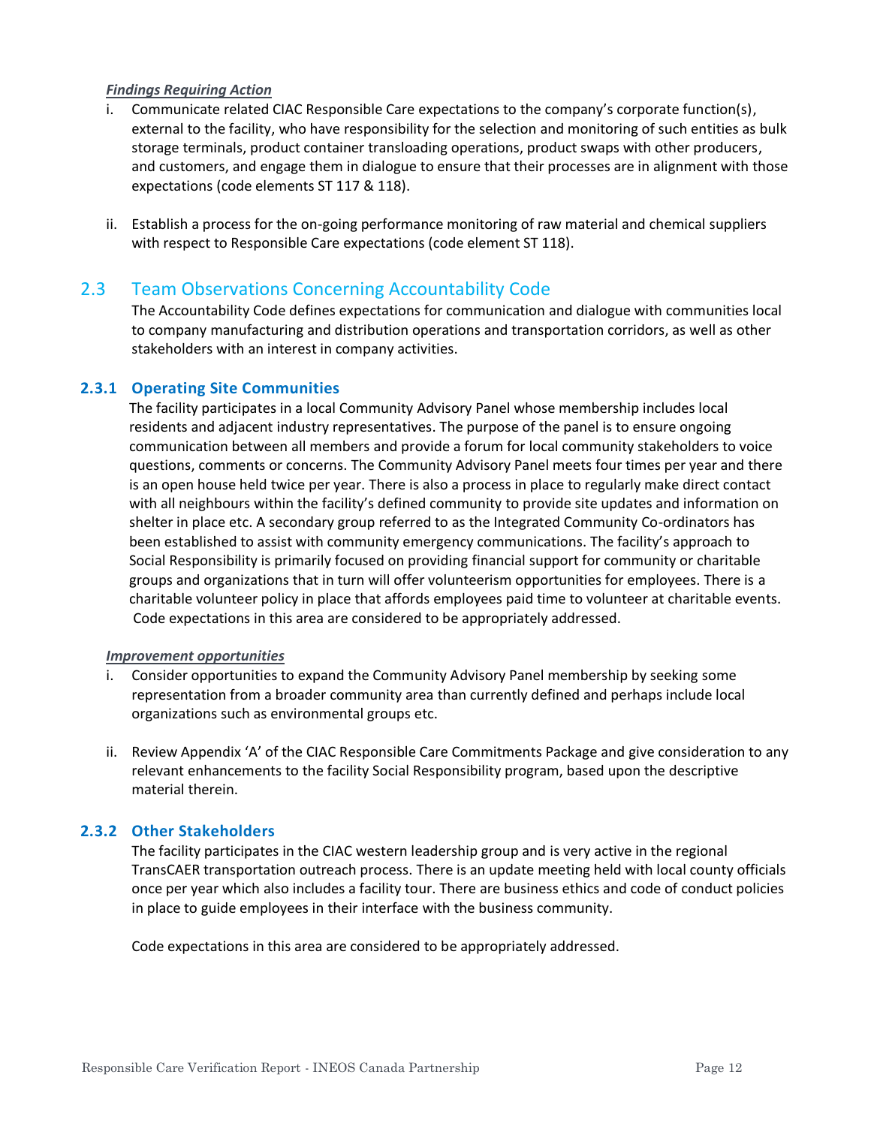#### *Findings Requiring Action*

- i. Communicate related CIAC Responsible Care expectations to the company's corporate function(s), external to the facility, who have responsibility for the selection and monitoring of such entities as bulk storage terminals, product container transloading operations, product swaps with other producers, and customers, and engage them in dialogue to ensure that their processes are in alignment with those expectations (code elements ST 117 & 118).
- ii. Establish a process for the on-going performance monitoring of raw material and chemical suppliers with respect to Responsible Care expectations (code element ST 118).

#### 2.3 Team Observations Concerning Accountability Code

The Accountability Code defines expectations for communication and dialogue with communities local to company manufacturing and distribution operations and transportation corridors, as well as other stakeholders with an interest in company activities.

#### **2.3.1 Operating Site Communities**

The facility participates in a local Community Advisory Panel whose membership includes local residents and adjacent industry representatives. The purpose of the panel is to ensure ongoing communication between all members and provide a forum for local community stakeholders to voice questions, comments or concerns. The Community Advisory Panel meets four times per year and there is an open house held twice per year. There is also a process in place to regularly make direct contact with all neighbours within the facility's defined community to provide site updates and information on shelter in place etc. A secondary group referred to as the Integrated Community Co-ordinators has been established to assist with community emergency communications. The facility's approach to Social Responsibility is primarily focused on providing financial support for community or charitable groups and organizations that in turn will offer volunteerism opportunities for employees. There is a charitable volunteer policy in place that affords employees paid time to volunteer at charitable events. Code expectations in this area are considered to be appropriately addressed.

#### *Improvement opportunities*

- i. Consider opportunities to expand the Community Advisory Panel membership by seeking some representation from a broader community area than currently defined and perhaps include local organizations such as environmental groups etc.
- ii. Review Appendix 'A' of the CIAC Responsible Care Commitments Package and give consideration to any relevant enhancements to the facility Social Responsibility program, based upon the descriptive material therein.

#### **2.3.2 Other Stakeholders**

The facility participates in the CIAC western leadership group and is very active in the regional TransCAER transportation outreach process. There is an update meeting held with local county officials once per year which also includes a facility tour. There are business ethics and code of conduct policies in place to guide employees in their interface with the business community.

Code expectations in this area are considered to be appropriately addressed.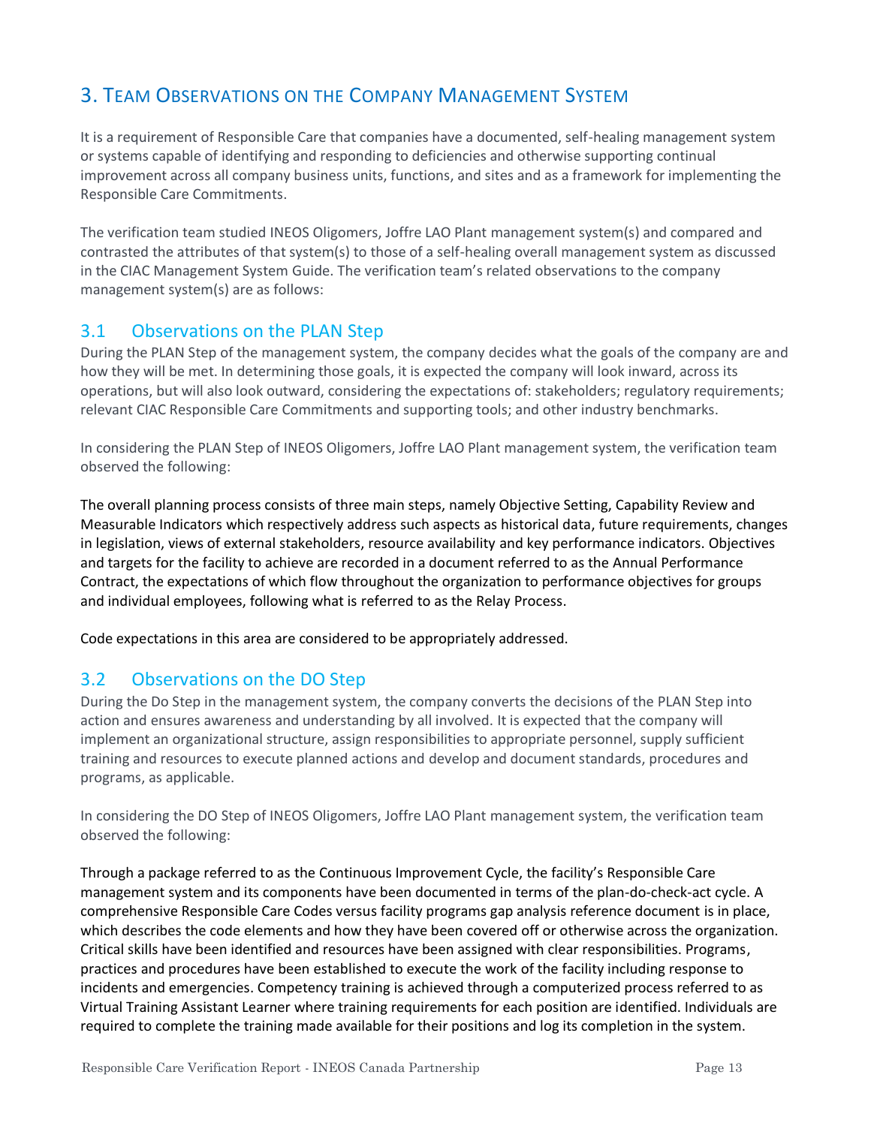## 3. TEAM OBSERVATIONS ON THE COMPANY MANAGEMENT SYSTEM

It is a requirement of Responsible Care that companies have a documented, self-healing management system or systems capable of identifying and responding to deficiencies and otherwise supporting continual improvement across all company business units, functions, and sites and as a framework for implementing the Responsible Care Commitments.

The verification team studied INEOS Oligomers, Joffre LAO Plant management system(s) and compared and contrasted the attributes of that system(s) to those of a self-healing overall management system as discussed in the CIAC Management System Guide. The verification team's related observations to the company management system(s) are as follows:

## 3.1 Observations on the PLAN Step

During the PLAN Step of the management system, the company decides what the goals of the company are and how they will be met. In determining those goals, it is expected the company will look inward, across its operations, but will also look outward, considering the expectations of: stakeholders; regulatory requirements; relevant CIAC Responsible Care Commitments and supporting tools; and other industry benchmarks.

In considering the PLAN Step of INEOS Oligomers, Joffre LAO Plant management system, the verification team observed the following:

The overall planning process consists of three main steps, namely Objective Setting, Capability Review and Measurable Indicators which respectively address such aspects as historical data, future requirements, changes in legislation, views of external stakeholders, resource availability and key performance indicators. Objectives and targets for the facility to achieve are recorded in a document referred to as the Annual Performance Contract, the expectations of which flow throughout the organization to performance objectives for groups and individual employees, following what is referred to as the Relay Process.

Code expectations in this area are considered to be appropriately addressed.

## 3.2 Observations on the DO Step

During the Do Step in the management system, the company converts the decisions of the PLAN Step into action and ensures awareness and understanding by all involved. It is expected that the company will implement an organizational structure, assign responsibilities to appropriate personnel, supply sufficient training and resources to execute planned actions and develop and document standards, procedures and programs, as applicable.

In considering the DO Step of INEOS Oligomers, Joffre LAO Plant management system, the verification team observed the following:

Through a package referred to as the Continuous Improvement Cycle, the facility's Responsible Care management system and its components have been documented in terms of the plan-do-check-act cycle. A comprehensive Responsible Care Codes versus facility programs gap analysis reference document is in place, which describes the code elements and how they have been covered off or otherwise across the organization. Critical skills have been identified and resources have been assigned with clear responsibilities. Programs, practices and procedures have been established to execute the work of the facility including response to incidents and emergencies. Competency training is achieved through a computerized process referred to as Virtual Training Assistant Learner where training requirements for each position are identified. Individuals are required to complete the training made available for their positions and log its completion in the system.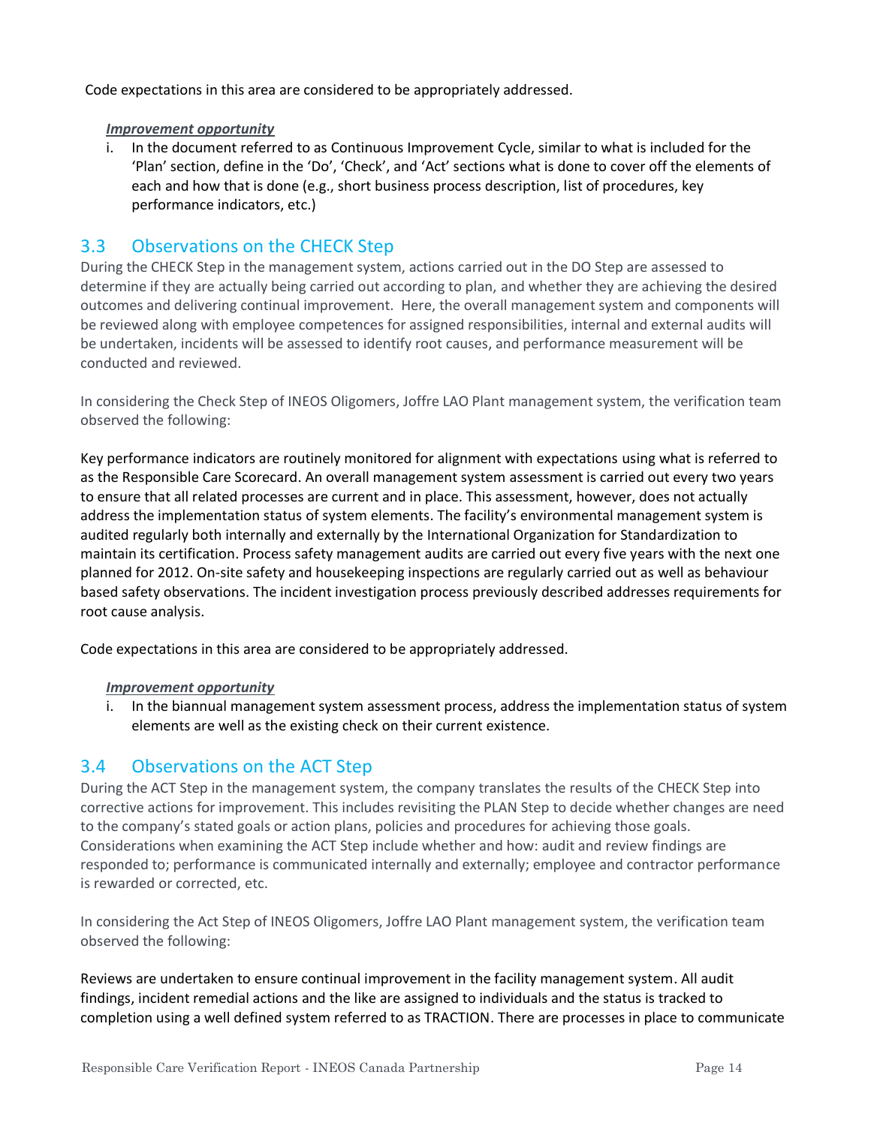Code expectations in this area are considered to be appropriately addressed.

#### *Improvement opportunity*

i. In the document referred to as Continuous Improvement Cycle, similar to what is included for the 'Plan' section, define in the 'Do', 'Check', and 'Act' sections what is done to cover off the elements of each and how that is done (e.g., short business process description, list of procedures, key performance indicators, etc.)

## 3.3 Observations on the CHECK Step

During the CHECK Step in the management system, actions carried out in the DO Step are assessed to determine if they are actually being carried out according to plan, and whether they are achieving the desired outcomes and delivering continual improvement. Here, the overall management system and components will be reviewed along with employee competences for assigned responsibilities, internal and external audits will be undertaken, incidents will be assessed to identify root causes, and performance measurement will be conducted and reviewed.

In considering the Check Step of INEOS Oligomers, Joffre LAO Plant management system, the verification team observed the following:

Key performance indicators are routinely monitored for alignment with expectations using what is referred to as the Responsible Care Scorecard. An overall management system assessment is carried out every two years to ensure that all related processes are current and in place. This assessment, however, does not actually address the implementation status of system elements. The facility's environmental management system is audited regularly both internally and externally by the International Organization for Standardization to maintain its certification. Process safety management audits are carried out every five years with the next one planned for 2012. On-site safety and housekeeping inspections are regularly carried out as well as behaviour based safety observations. The incident investigation process previously described addresses requirements for root cause analysis.

Code expectations in this area are considered to be appropriately addressed.

#### *Improvement opportunity*

i. In the biannual management system assessment process, address the implementation status of system elements are well as the existing check on their current existence.

## 3.4 Observations on the ACT Step

During the ACT Step in the management system, the company translates the results of the CHECK Step into corrective actions for improvement. This includes revisiting the PLAN Step to decide whether changes are need to the company's stated goals or action plans, policies and procedures for achieving those goals. Considerations when examining the ACT Step include whether and how: audit and review findings are responded to; performance is communicated internally and externally; employee and contractor performance is rewarded or corrected, etc.

In considering the Act Step of INEOS Oligomers, Joffre LAO Plant management system, the verification team observed the following:

Reviews are undertaken to ensure continual improvement in the facility management system. All audit findings, incident remedial actions and the like are assigned to individuals and the status is tracked to completion using a well defined system referred to as TRACTION. There are processes in place to communicate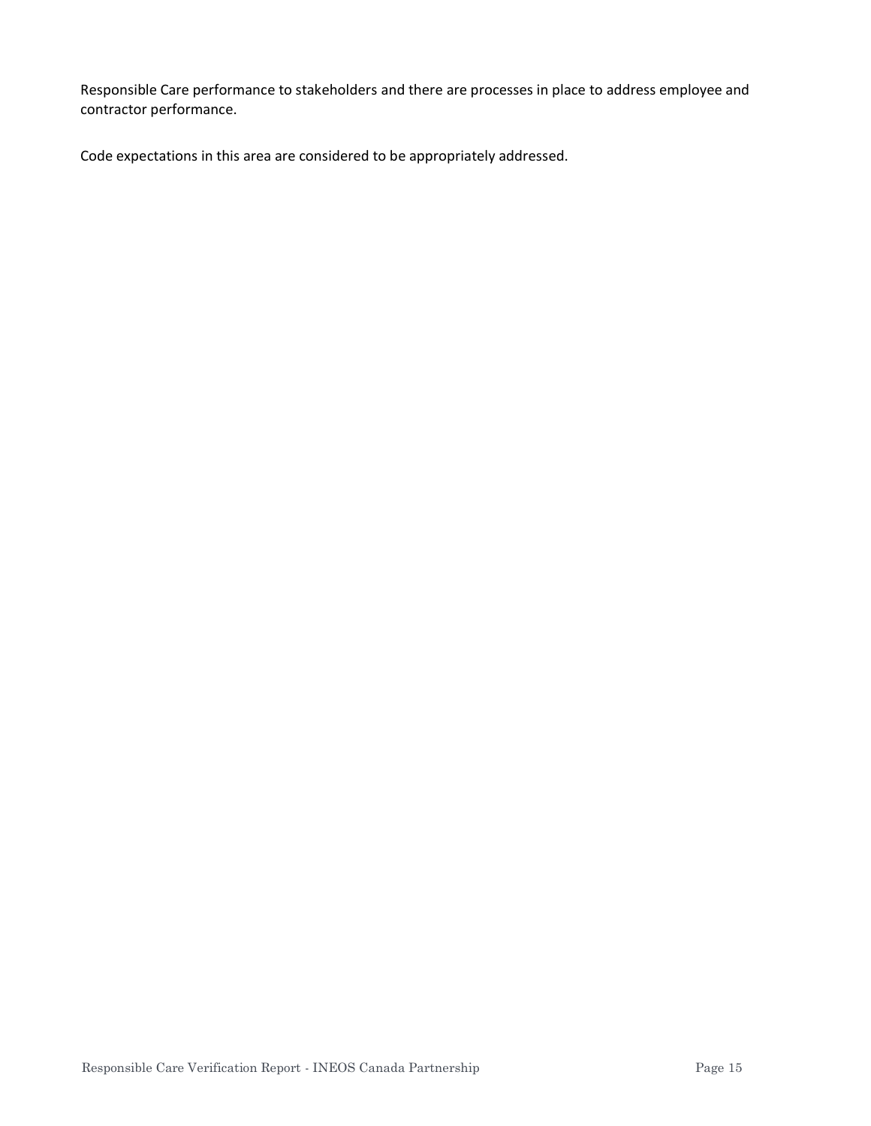Responsible Care performance to stakeholders and there are processes in place to address employee and contractor performance.

Code expectations in this area are considered to be appropriately addressed.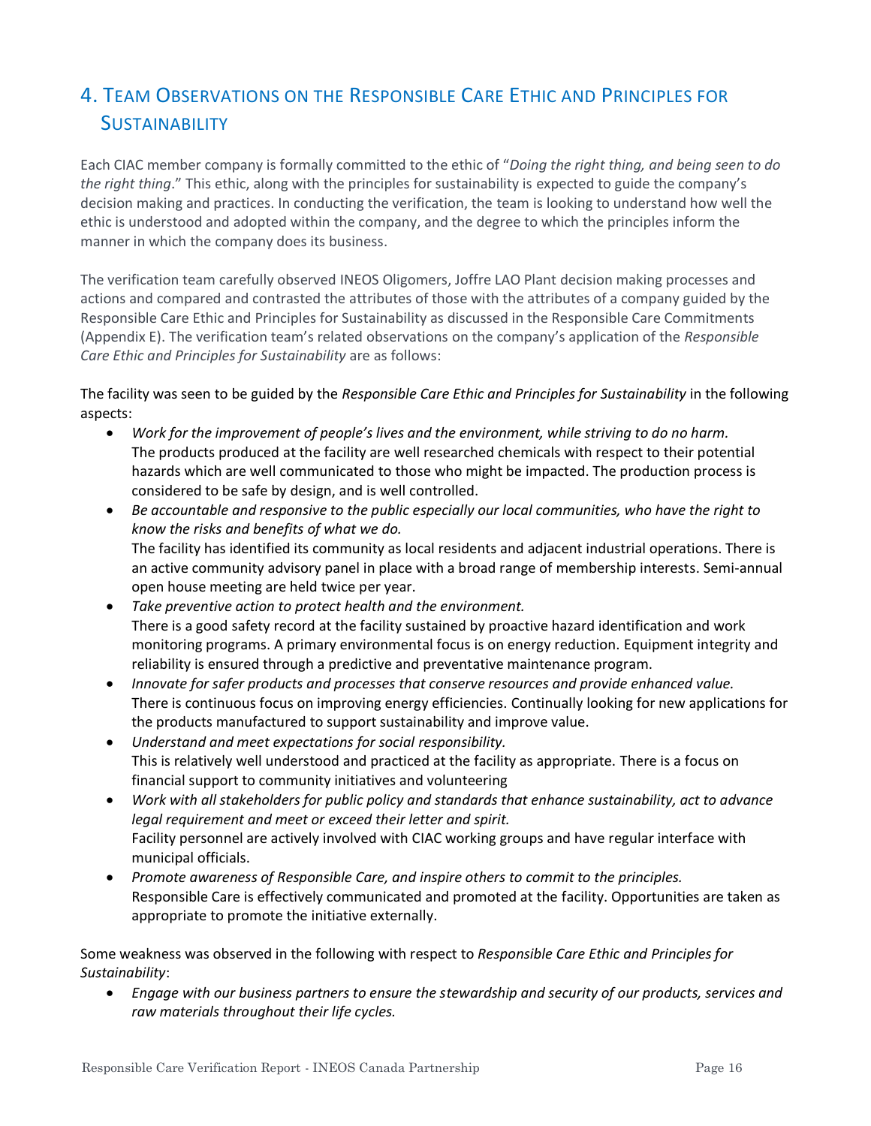## 4. TEAM OBSERVATIONS ON THE RESPONSIBLE CARE ETHIC AND PRINCIPLES FOR **SUSTAINABILITY**

Each CIAC member company is formally committed to the ethic of "*Doing the right thing, and being seen to do the right thing*." This ethic, along with the principles for sustainability is expected to guide the company's decision making and practices. In conducting the verification, the team is looking to understand how well the ethic is understood and adopted within the company, and the degree to which the principles inform the manner in which the company does its business.

The verification team carefully observed INEOS Oligomers, Joffre LAO Plant decision making processes and actions and compared and contrasted the attributes of those with the attributes of a company guided by the Responsible Care Ethic and Principles for Sustainability as discussed in the Responsible Care Commitments (Appendix E). The verification team's related observations on the company's application of the *Responsible Care Ethic and Principles for Sustainability* are as follows:

The facility was seen to be guided by the *Responsible Care Ethic and Principles for Sustainability* in the following aspects:

- *Work for the improvement of people's lives and the environment, while striving to do no harm.* The products produced at the facility are well researched chemicals with respect to their potential hazards which are well communicated to those who might be impacted. The production process is considered to be safe by design, and is well controlled.
- *Be accountable and responsive to the public especially our local communities, who have the right to know the risks and benefits of what we do.* The facility has identified its community as local residents and adjacent industrial operations. There is an active community advisory panel in place with a broad range of membership interests. Semi-annual open house meeting are held twice per year.
- *Take preventive action to protect health and the environment.* There is a good safety record at the facility sustained by proactive hazard identification and work monitoring programs. A primary environmental focus is on energy reduction. Equipment integrity and reliability is ensured through a predictive and preventative maintenance program.
- *Innovate for safer products and processes that conserve resources and provide enhanced value.* There is continuous focus on improving energy efficiencies. Continually looking for new applications for the products manufactured to support sustainability and improve value.
- *Understand and meet expectations for social responsibility.* This is relatively well understood and practiced at the facility as appropriate. There is a focus on financial support to community initiatives and volunteering
- *Work with all stakeholders for public policy and standards that enhance sustainability, act to advance legal requirement and meet or exceed their letter and spirit.* Facility personnel are actively involved with CIAC working groups and have regular interface with municipal officials.
- *Promote awareness of Responsible Care, and inspire others to commit to the principles.* Responsible Care is effectively communicated and promoted at the facility. Opportunities are taken as appropriate to promote the initiative externally.

Some weakness was observed in the following with respect to *Responsible Care Ethic and Principles for Sustainability*:

• *Engage with our business partners to ensure the stewardship and security of our products, services and raw materials throughout their life cycles.*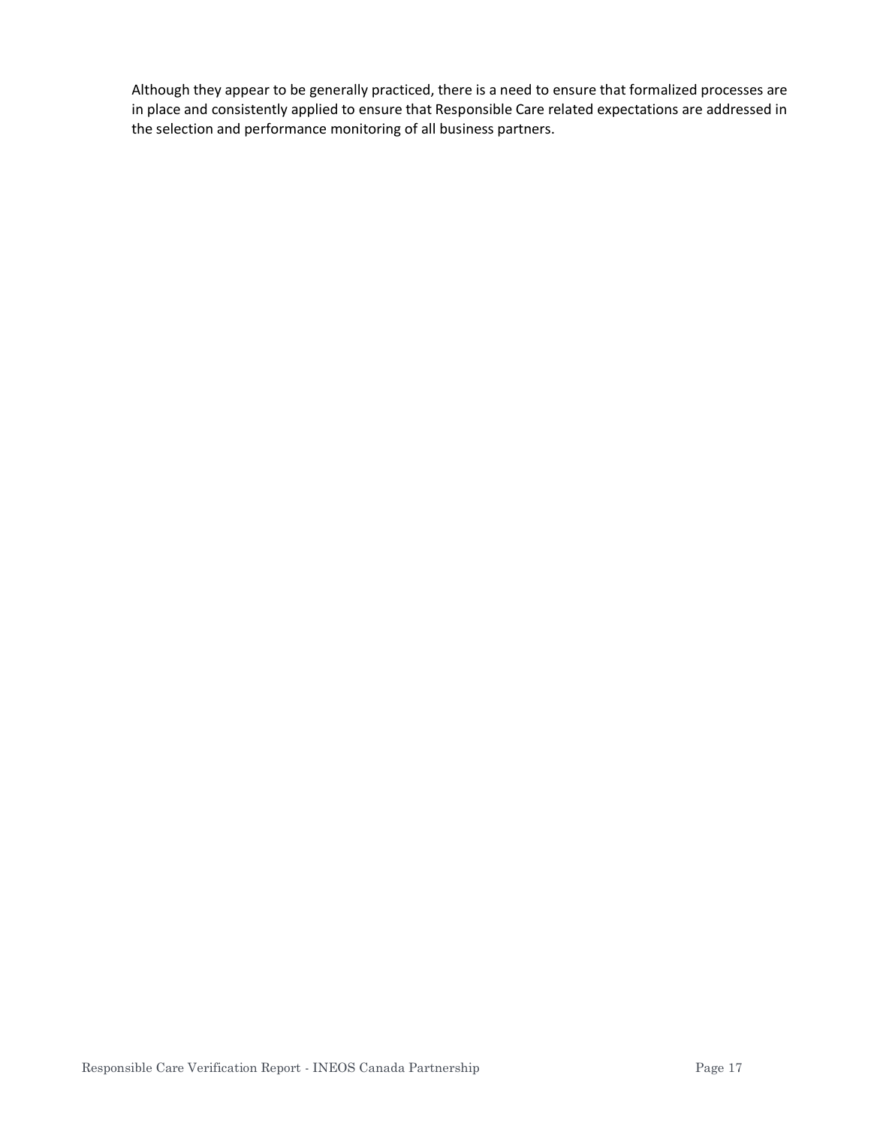Although they appear to be generally practiced, there is a need to ensure that formalized processes are in place and consistently applied to ensure that Responsible Care related expectations are addressed in the selection and performance monitoring of all business partners.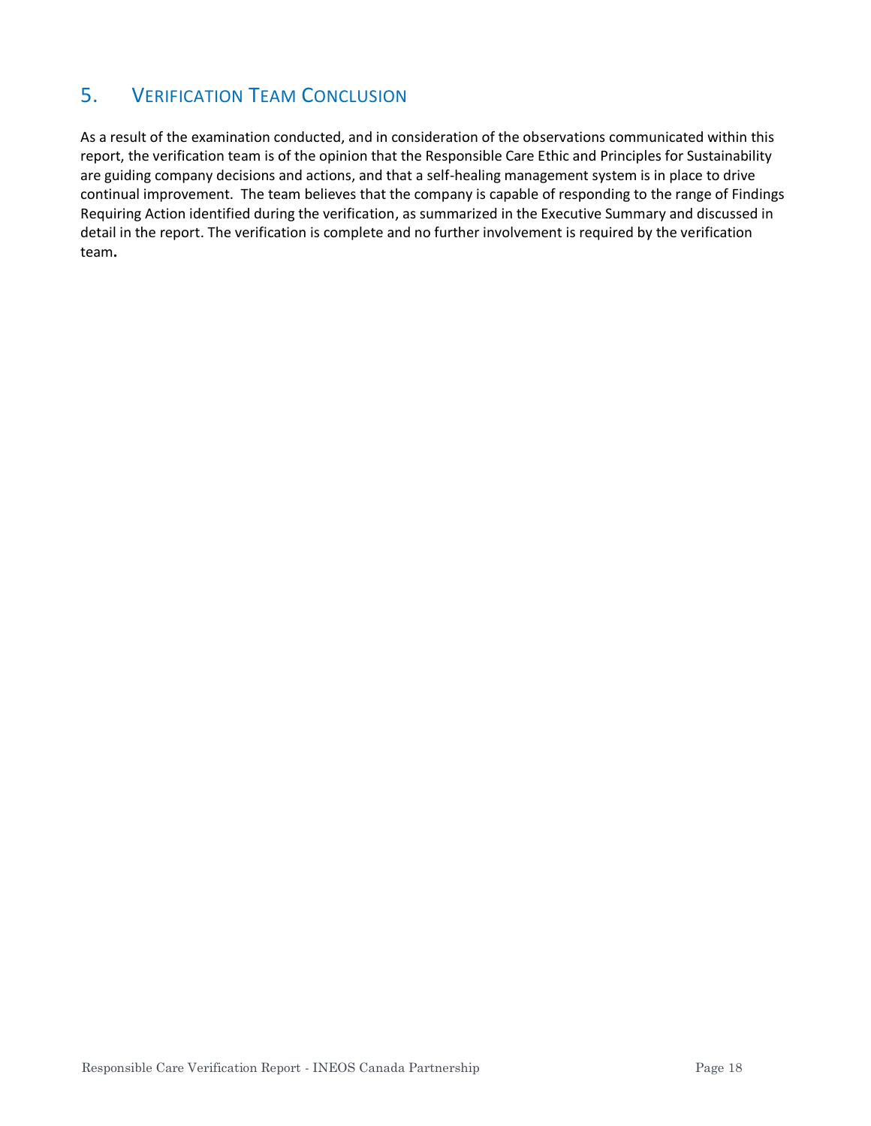## 5. VERIFICATION TEAM CONCLUSION

As a result of the examination conducted, and in consideration of the observations communicated within this report, the verification team is of the opinion that the Responsible Care Ethic and Principles for Sustainability are guiding company decisions and actions, and that a self-healing management system is in place to drive continual improvement. The team believes that the company is capable of responding to the range of Findings Requiring Action identified during the verification, as summarized in the Executive Summary and discussed in detail in the report. The verification is complete and no further involvement is required by the verification team**.**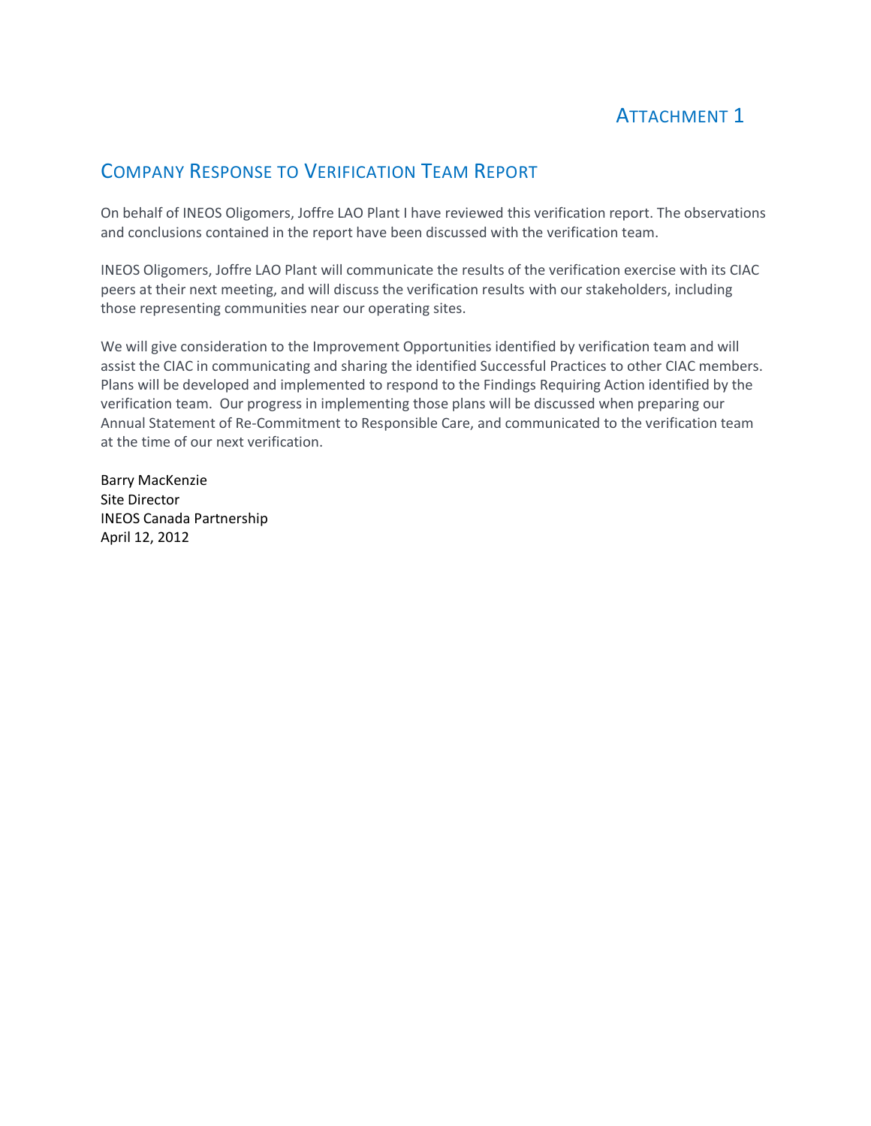## ATTACHMENT 1

## COMPANY RESPONSE TO VERIFICATION TEAM REPORT

On behalf of INEOS Oligomers, Joffre LAO Plant I have reviewed this verification report. The observations and conclusions contained in the report have been discussed with the verification team.

INEOS Oligomers, Joffre LAO Plant will communicate the results of the verification exercise with its CIAC peers at their next meeting, and will discuss the verification results with our stakeholders, including those representing communities near our operating sites.

We will give consideration to the Improvement Opportunities identified by verification team and will assist the CIAC in communicating and sharing the identified Successful Practices to other CIAC members. Plans will be developed and implemented to respond to the Findings Requiring Action identified by the verification team. Our progress in implementing those plans will be discussed when preparing our Annual Statement of Re-Commitment to Responsible Care, and communicated to the verification team at the time of our next verification.

Barry MacKenzie Site Director INEOS Canada Partnership April 12, 2012